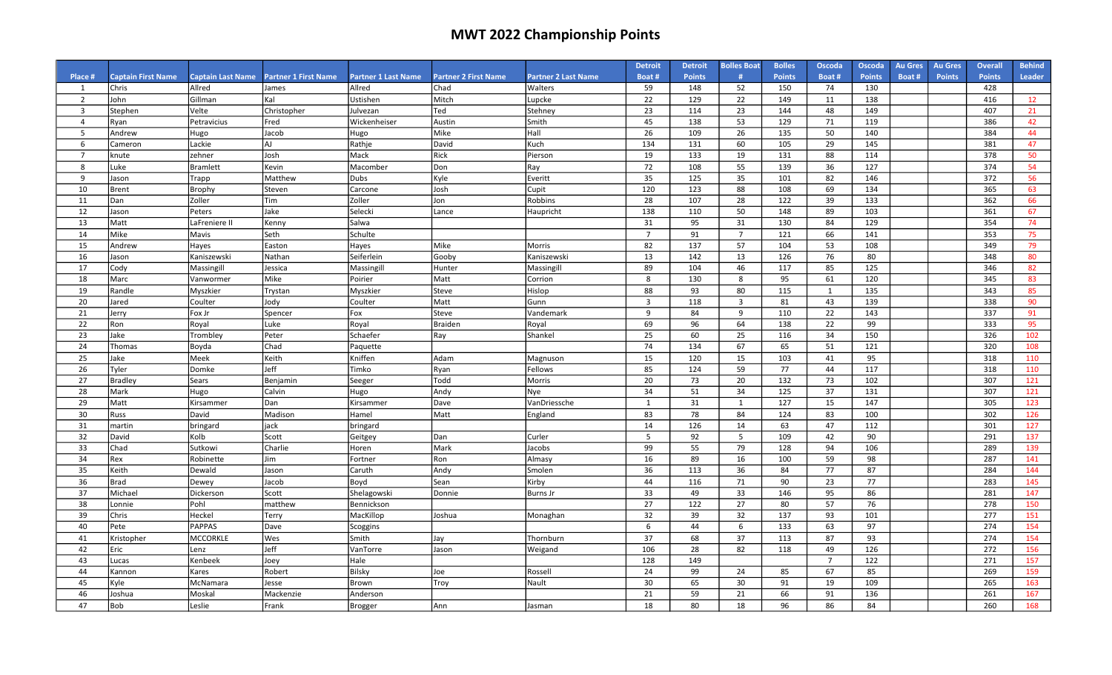|                         |                           |                          |                             |                            |                             |                            | <b>Detroit</b> | <b>Detroit</b> | <b>Bolles Boat</b>      | <b>Bolles</b> | Oscoda         | Oscoda        | <b>Au Gres</b> | <b>Au Gres</b> | <b>Overall</b> | <b>Behind</b> |
|-------------------------|---------------------------|--------------------------|-----------------------------|----------------------------|-----------------------------|----------------------------|----------------|----------------|-------------------------|---------------|----------------|---------------|----------------|----------------|----------------|---------------|
| Place #                 | <b>Captain First Name</b> | <b>Captain Last Name</b> | <b>Partner 1 First Name</b> | <b>Partner 1 Last Name</b> | <b>Partner 2 First Name</b> | <b>Partner 2 Last Name</b> | Boat#          | <b>Points</b>  | #                       | <b>Points</b> | Boat#          | <b>Points</b> | Boat#          | <b>Points</b>  | <b>Points</b>  | <b>Leader</b> |
| 1                       | Chris                     | Allred                   | James                       | Allred                     | Chad                        | Walters                    | 59             | 148            | 52                      | 150           | 74             | 130           |                |                | 428            |               |
| 2                       | John                      | Gillman                  | Kal                         | Ustishen                   | Mitch                       | Lupcke                     | 22             | 129            | 22                      | 149           | 11             | 138           |                |                | 416            | 12            |
| $\overline{\mathbf{3}}$ | Stephen                   | Velte                    | Christopher                 | Julvezan                   | Ted                         | Stehney                    | 23             | 114            | 23                      | 144           | 48             | 149           |                |                | 407            | 21            |
| $\overline{4}$          | Ryan                      | Petravicius              | Fred                        | Wickenheiser               | Austin                      | Smith                      | 45             | 138            | 53                      | 129           | 71             | 119           |                |                | 386            | 42            |
| - 5                     | Andrew                    | Hugo                     | Jacob                       | Hugo                       | Mike                        | Hall                       | 26             | 109            | 26                      | 135           | 50             | 140           |                |                | 384            | 44            |
| 6                       | Cameron                   | Lackie                   | AJ                          | Rathje                     | David                       | Kuch                       | 134            | 131            | 60                      | 105           | 29             | 145           |                |                | 381            | 47            |
| $\overline{7}$          | knute                     | zehner                   | Josh                        | Mack                       | Rick                        | Pierson                    | 19             | 133            | 19                      | 131           | 88             | 114           |                |                | 378            | 50            |
| 8                       | uke.                      | <b>Bramlett</b>          | Kevin                       | Macomber                   | Don                         | Ray                        | 72             | 108            | 55                      | 139           | 36             | 127           |                |                | 374            | 54            |
| 9                       | Jason                     | Trapp                    | Matthew                     | <b>Dubs</b>                | Kyle                        | Everitt                    | 35             | 125            | 35                      | 101           | 82             | 146           |                |                | 372            | 56            |
| 10                      | <b>Brent</b>              | Brophy                   | Steven                      | Carcone                    | Josh                        | Cupit                      | 120            | 123            | 88                      | 108           | 69             | 134           |                |                | 365            | 63            |
| 11                      | Dan                       | Zoller                   | Tim                         | Zoller                     | Jon                         | Robbins                    | 28             | 107            | 28                      | 122           | 39             | 133           |                |                | 362            | 66            |
| 12                      | Jason                     | Peters                   | Jake                        | Selecki                    | Lance                       | Haupricht                  | 138            | 110            | 50                      | 148           | 89             | 103           |                |                | 361            | 67            |
| 13                      | Matt                      | LaFreniere II            | Kenny                       | Salwa                      |                             |                            | 31             | 95             | 31                      | 130           | 84             | 129           |                |                | 354            | 74            |
| 14                      | Mike                      | Mavis                    | Seth                        | Schulte                    |                             |                            | $\overline{7}$ | 91             | $\overline{7}$          | 121           | 66             | 141           |                |                | 353            | 75            |
| 15                      | Andrew                    | Hayes                    | Easton                      | Hayes                      | Mike                        | Morris                     | 82             | 137            | 57                      | 104           | 53             | 108           |                |                | 349            | 79            |
| 16                      | Jason                     | Kaniszewski              | Nathan                      | Seiferlein                 | Gooby                       | Kaniszewski                | 13             | 142            | 13                      | 126           | 76             | 80            |                |                | 348            | 80            |
| 17                      | Cody                      | Massingill               | Jessica                     | Massingill                 | Hunter                      | Massingill                 | 89             | 104            | 46                      | 117           | 85             | 125           |                |                | 346            | 82            |
| 18                      | Marc                      | Vanwormer                | Mike                        | Poirier                    | Matt                        | Corrion                    | 8              | 130            | 8                       | 95            | 61             | 120           |                |                | 345            | 83            |
| 19                      | Randle                    | Myszkier                 | Trystan                     | Myszkier                   | Steve                       | Hislop                     | 88             | 93             | 80                      | 115           | 1              | 135           |                |                | 343            | 85            |
| 20                      | Jared                     | Coulter                  | Jody                        | Coulter                    | Matt                        | Gunn                       | $\overline{3}$ | 118            | $\overline{\mathbf{3}}$ | 81            | 43             | 139           |                |                | 338            | 90            |
| 21                      | Jerry                     | Fox Jr                   | Spencer                     | Fox                        | Steve                       | Vandemark                  | 9              | 84             | 9                       | 110           | 22             | 143           |                |                | 337            | 91            |
| 22                      | Ron                       | Royal                    | Luke                        | Royal                      | <b>Braiden</b>              | Royal                      | 69             | 96             | 64                      | 138           | 22             | 99            |                |                | 333            | 95            |
| 23                      | Jake                      | Trombley                 | Peter                       | Schaefer                   | Ray                         | Shankel                    | 25             | 60             | 25                      | 116           | 34             | 150           |                |                | 326            | 102           |
| 24                      | Thomas                    | Boyda                    | Chad                        | Paquette                   |                             |                            | 74             | 134            | 67                      | 65            | 51             | 121           |                |                | 320            | 108           |
| 25                      | Jake                      | Meek                     | Keith                       | Kniffen                    | Adam                        | Magnuson                   | 15             | 120            | 15                      | 103           | 41             | 95            |                |                | 318            | 110           |
| 26                      | Tyler                     | Domke                    | Jeff                        | Timko                      | Ryan                        | Fellows                    | 85             | 124            | 59                      | 77            | 44             | 117           |                |                | 318            | 110           |
| 27                      | <b>Bradley</b>            | Sears                    | Benjamin                    | Seeger                     | Todd                        | Morris                     | 20             | 73             | 20                      | 132           | 73             | 102           |                |                | 307            | 121           |
| 28                      | Mark                      | Hugo                     | Calvin                      | Hugo                       | Andy                        | Nye                        | 34             | 51             | 34                      | 125           | 37             | 131           |                |                | 307            | 121           |
| 29                      | Matt                      | Kirsammer                | Dan                         | Kirsammer                  | Dave                        | VanDriessche               | 1              | 31             | 1                       | 127           | 15             | 147           |                |                | 305            | 123           |
| 30                      | Russ                      | David                    | Madison                     | Hamel                      | Matt                        | England                    | 83             | 78             | 84                      | 124           | 83             | 100           |                |                | 302            | 126           |
| 31                      | martin                    | bringard                 | jack                        | bringard                   |                             |                            | 14             | 126            | 14                      | 63            | 47             | 112           |                |                | 301            | 127           |
| 32                      | David                     | Kolb                     | Scott                       | Geitgey                    | Dan                         | Curler                     | 5              | 92             | 5                       | 109           | 42             | 90            |                |                | 291            | 137           |
| 33                      | Chad                      | Sutkowi                  | Charlie                     | Horen                      | Mark                        | Jacobs                     | 99             | 55             | 79                      | 128           | 94             | 106           |                |                | 289            | 139           |
| 34                      | Rex                       | Robinette                | Jim                         | Fortner                    | Ron                         | Almasy                     | 16             | 89             | 16                      | 100           | 59             | 98            |                |                | 287            | 141           |
| 35                      | Keith                     | Dewald                   | Jason                       | Caruth                     | Andy                        | Smolen                     | 36             | 113            | 36                      | 84            | 77             | 87            |                |                | 284            | 144           |
| 36                      | <b>Brad</b>               | Dewey                    | Jacob                       | Boyd                       | Sean                        | Kirby                      | 44             | 116            | 71                      | 90            | 23             | 77            |                |                | 283            | 145           |
| 37                      | Michael                   | Dickerson                | Scott                       | Shelagowski                | Donnie                      | <b>Burns Jr</b>            | 33             | 49             | 33                      | 146           | 95             | 86            |                |                | 281            | 147           |
| 38                      | Lonnie                    | Pohl                     | matthew                     | Bennickson                 |                             |                            | 27             | 122            | 27                      | 80            | 57             | 76            |                |                | 278            | 150           |
| 39                      | Chris                     | Heckel                   | Terry                       | MacKillop                  | Joshua                      | Monaghan                   | 32             | 39             | 32                      | 137           | 93             | 101           |                |                | 277            | 151           |
| 40                      | Pete                      | <b>PAPPAS</b>            | Dave                        | Scoggins                   |                             |                            | 6              | 44             | 6                       | 133           | 63             | 97            |                |                | 274            | 154           |
| 41                      | Kristopher                | <b>MCCORKLE</b>          | Wes                         | Smith                      | Jay                         | Thornburn                  | 37             | 68             | 37                      | 113           | 87             | 93            |                |                | 274            | 154           |
| 42                      | Eric                      | Lenz                     | Jeff                        | VanTorre                   | Jason                       | Weigand                    | 106            | 28             | 82                      | 118           | 49             | 126           |                |                | 272            | 156           |
| 43                      | ucas.                     | Kenbeek                  | Joey                        | Hale                       |                             |                            | 128            | 149            |                         |               | $\overline{7}$ | 122           |                |                | 271            | 157           |
| 44                      | Kannon                    | Kares                    | Robert                      | Bilsky                     | Joe                         | Rossell                    | 24             | 99             | 24                      | 85            | 67             | 85            |                |                | 269            | 159           |
| 45                      | Kyle                      | McNamara                 | Jesse                       | Brown                      | Troy                        | Nault                      | 30             | 65             | 30                      | 91            | 19             | 109           |                |                | 265            | 163           |
| 46                      | Joshua                    | Moskal                   | Mackenzie                   | Anderson                   |                             |                            | 21             | 59             | 21                      | 66            | 91             | 136           |                |                | 261            | 167           |
| 47                      | Bob                       | Leslie                   | Frank                       | <b>Brogger</b>             | Ann                         | Jasman                     | 18             | 80             | 18                      | 96            | 86             | 84            |                |                | 260            | 168           |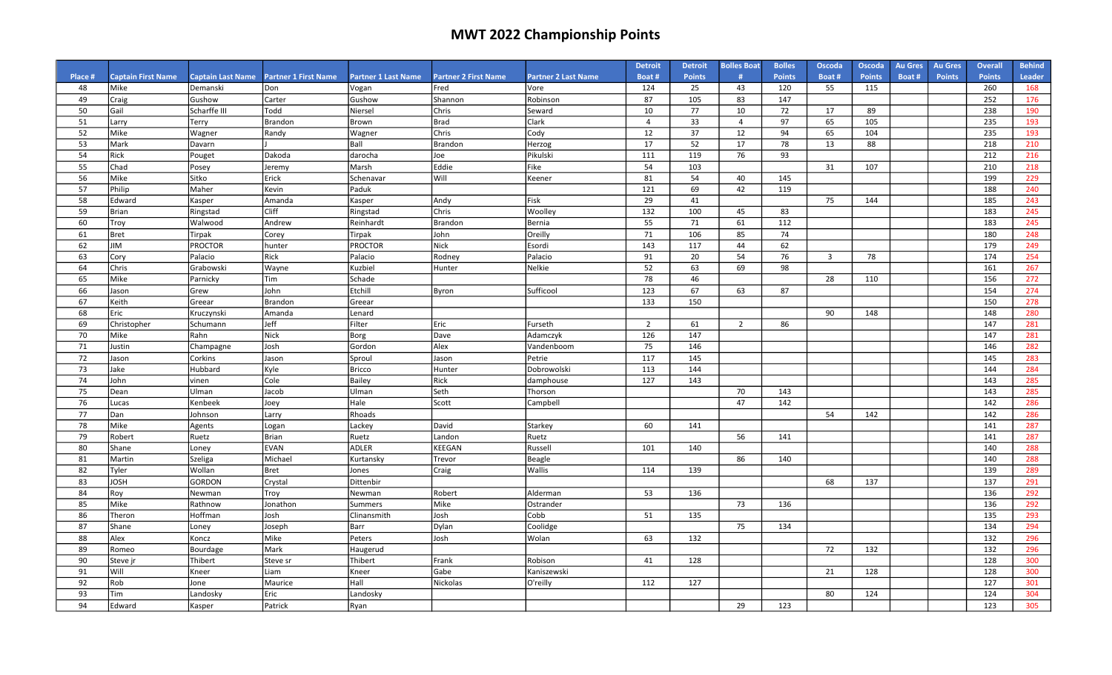|               |                                   |                                      |                                    |                            |                                     |                                    | <b>Detroit</b> | <b>Detroit</b>      | <b>Bolles Boat</b> | <b>Bolles</b>        | Oscoda         | <b>Oscoda</b>        | <b>Au Gres</b> | <b>Au Gres</b> | <b>Overall</b>       | <b>Behind</b> |
|---------------|-----------------------------------|--------------------------------------|------------------------------------|----------------------------|-------------------------------------|------------------------------------|----------------|---------------------|--------------------|----------------------|----------------|----------------------|----------------|----------------|----------------------|---------------|
| Place #<br>48 | <b>Captain First Name</b><br>Mike | <b>Captain Last Name</b><br>Demanski | <b>Partner 1 First Name</b><br>Don | <b>Partner 1 Last Name</b> | <b>Partner 2 First Name</b><br>Fred | <b>Partner 2 Last Name</b><br>Vore | Boat#<br>124   | <b>Points</b><br>25 | #<br>43            | <b>Points</b><br>120 | Boat#          | <b>Points</b><br>115 | Boat #         | <b>Points</b>  | <b>Points</b><br>260 | Leader<br>168 |
| 49            |                                   | Gushow                               | Carter                             | Vogan                      | Shannon                             | Robinson                           | 87             | 105                 | 83                 | 147                  | 55             |                      |                |                | 252                  | 176           |
| 50            | Craig<br>Gail                     | Scharffe III                         | Todd                               | Gushow<br>Niersel          | Chris                               | Seward                             | 10             | 77                  | 10                 | 72                   | 17             | 89                   |                |                | 238                  | 190           |
| 51            |                                   |                                      | Brandon                            | Brown                      | <b>Brad</b>                         | Clark                              | $\overline{4}$ | 33                  | $\overline{4}$     | 97                   | 65             | 105                  |                |                | 235                  | 193           |
| 52            | Larry<br>Mike                     | Terry<br>Wagner                      | Randy                              | Wagner                     | Chris                               | Cody                               | 12             | 37                  | 12                 | 94                   | 65             | 104                  |                |                | 235                  | 193           |
| 53            | Mark                              | Davarn                               |                                    | Ball                       | Brandon                             | Herzog                             | 17             | 52                  | 17                 | 78                   | 13             | 88                   |                |                | 218                  | 210           |
| 54            | Rick                              | Pouget                               | Dakoda                             | darocha                    | Joe                                 | Pikulski                           | 111            | 119                 | 76                 | 93                   |                |                      |                |                | 212                  | 216           |
| 55            | Chad                              | Posey                                | Jeremy                             | Marsh                      | Eddie                               | Fike                               | 54             | 103                 |                    |                      | 31             | 107                  |                |                | 210                  | 218           |
| 56            | Mike                              | Sitko                                | Erick                              | Schenavar                  | Will                                | Keener                             | 81             | 54                  | 40                 | 145                  |                |                      |                |                | 199                  | 229           |
| 57            | Philip                            | Maher                                | Kevin                              | Paduk                      |                                     |                                    | 121            | 69                  | 42                 | 119                  |                |                      |                |                | 188                  | 240           |
| 58            | Edward                            | Kasper                               | Amanda                             | Kasper                     | Andv                                | Fisk                               | 29             | 41                  |                    |                      | 75             | 144                  |                |                | 185                  | 243           |
| 59            | <b>Brian</b>                      | Ringstad                             | Cliff                              | Ringstad                   | Chris                               | Woolley                            | 132            | 100                 | 45                 | 83                   |                |                      |                |                | 183                  | 245           |
| 60            | Troy                              | Walwood                              | Andrew                             | Reinhardt                  | Brandon                             | <b>Bernia</b>                      | 55             | 71                  | 61                 | 112                  |                |                      |                |                | 183                  | 245           |
| 61            | <b>Bret</b>                       | Tirpak                               | Corey                              | Tirpak                     | lohn                                | Oreilly                            | 71             | 106                 | 85                 | 74                   |                |                      |                |                | 180                  | 248           |
| 62            | ЛIГ                               | <b>PROCTOR</b>                       | hunter                             | PROCTOR                    | Nick                                | Esordi                             | 143            | 117                 | 44                 | 62                   |                |                      |                |                | 179                  | 249           |
| 63            | Cory                              | Palacio                              | Rick                               | Palacio                    | Rodney                              | Palacio                            | 91             | 20                  | 54                 | 76                   | $\overline{3}$ | 78                   |                |                | 174                  | 254           |
| 64            | Chris                             | Grabowski                            | Wayne                              | Kuzbiel                    | Hunter                              | Nelkie                             | 52             | 63                  | 69                 | 98                   |                |                      |                |                | 161                  | 267           |
| 65            | Mike                              | Parnicky                             | <b>Tim</b>                         | Schade                     |                                     |                                    | 78             | 46                  |                    |                      | 28             | 110                  |                |                | 156                  | 272           |
| 66            | Jason                             | Grew                                 | John                               | Etchill                    | Byron                               | Sufficool                          | 123            | 67                  | 63                 | 87                   |                |                      |                |                | 154                  | 274           |
| 67            | Keith                             | Greear                               | Brandon                            | Greear                     |                                     |                                    | 133            | 150                 |                    |                      |                |                      |                |                | 150                  | 278           |
| 68            | Eric                              | Kruczynski                           | Amanda                             | Lenard                     |                                     |                                    |                |                     |                    |                      | 90             | 148                  |                |                | 148                  | 280           |
| 69            | Christopher                       | Schumann                             | Jeff                               | Filter                     | Eric                                | Furseth                            | $\overline{2}$ | 61                  | $\overline{2}$     | 86                   |                |                      |                |                | 147                  | 281           |
| 70            | Mike                              | Rahn                                 | Nick                               | Borg                       | Dave                                | Adamczyk                           | 126            | 147                 |                    |                      |                |                      |                |                | 147                  | 281           |
| 71            | Justin                            | Champagne                            | Josh                               | Gordon                     | Alex                                | Vandenboom                         | 75             | 146                 |                    |                      |                |                      |                |                | 146                  | 282           |
| 72            | Jason                             | Corkins                              | Jason                              | Sproul                     | Jason                               | Petrie                             | 117            | 145                 |                    |                      |                |                      |                |                | 145                  | 283           |
| 73            | Jake                              | Hubbard                              | Kyle                               | <b>Bricco</b>              | Hunter                              | Dobrowolski                        | 113            | 144                 |                    |                      |                |                      |                |                | 144                  | 284           |
| 74            | John                              | vinen                                | Cole                               | Bailey                     | Rick                                | damphouse                          | 127            | 143                 |                    |                      |                |                      |                |                | 143                  | 285           |
| 75            | Dean                              | Ulman                                | Jacob                              | Ulman                      | Seth                                | Thorson                            |                |                     | 70                 | 143                  |                |                      |                |                | 143                  | 285           |
| 76            | Lucas                             | Kenbeek                              | Joey                               | Hale                       | Scott                               | Campbell                           |                |                     | 47                 | 142                  |                |                      |                |                | 142                  | 286           |
| 77            | Dan                               | Johnson                              | Larry                              | Rhoads                     |                                     |                                    |                |                     |                    |                      | 54             | 142                  |                |                | 142                  | 286           |
| 78            | Mike                              | Agents                               | Logan                              | Lackey                     | David                               | Starkey                            | 60             | 141                 |                    |                      |                |                      |                |                | 141                  | 287           |
| 79            | Robert                            | Ruetz                                | Brian                              | Ruetz                      | Landon                              | Ruetz                              |                |                     | 56                 | 141                  |                |                      |                |                | 141                  | 287           |
| 80            | Shane                             | Loney                                | <b>EVAN</b>                        | ADLER                      | KEEGAN                              | Russell                            | 101            | 140                 |                    |                      |                |                      |                |                | 140                  | 288           |
| 81            | Martin                            | Szeliga                              | Michael                            | Kurtansky                  | Trevor                              | Beagle                             |                |                     | 86                 | 140                  |                |                      |                |                | 140                  | 288           |
| 82            | Tyler                             | Wollan                               | Bret                               | Jones                      | Craig                               | Wallis                             | 114            | 139                 |                    |                      |                |                      |                |                | 139                  | 289           |
| 83            | <b>JOSH</b>                       | GORDON                               | Crystal                            | Dittenbir                  |                                     |                                    |                |                     |                    |                      | 68             | 137                  |                |                | 137                  | 291           |
| 84            | Roy                               | Newman                               | Troy                               | Newman                     | Robert                              | Alderman                           | 53             | 136                 |                    |                      |                |                      |                |                | 136                  | 292           |
| 85            | Mike                              | Rathnow                              | Jonathon                           | Summers                    | Mike                                | Ostrander                          |                |                     | 73                 | 136                  |                |                      |                |                | 136                  | 292           |
| 86            | Theron                            | Hoffman                              | Josh                               | Clinansmith                | Josh                                | Cobb                               | 51             | 135                 |                    |                      |                |                      |                |                | 135                  | 293           |
| 87            | Shane                             | Loney                                | Joseph                             | Barr                       | Dylan                               | Coolidge                           |                |                     | 75                 | 134                  |                |                      |                |                | 134                  | 294           |
| 88            | Alex                              | Koncz                                | Mike                               | Peters                     | Josh                                | Wolan                              | 63             | 132                 |                    |                      |                |                      |                |                | 132                  | 296           |
| 89            | Romeo                             | Bourdage                             | Mark                               | Haugerud                   |                                     |                                    |                |                     |                    |                      | 72             | 132                  |                |                | 132                  | 296           |
| 90            | Steve jr                          | Thibert                              | Steve sr                           | Thibert                    | Frank                               | Robison                            | 41             | 128                 |                    |                      |                |                      |                |                | 128                  | 300           |
| 91            | Will                              | Kneer                                | Liam                               | Kneer                      | Gabe                                | Kaniszewski                        |                |                     |                    |                      | 21             | 128                  |                |                | 128                  | 300           |
| 92            | Rob                               | Jone                                 | Maurice                            | Hall                       | Nickolas                            | O'reilly                           | 112            | 127                 |                    |                      |                |                      |                |                | 127                  | 301           |
| 93            | Tim                               | Landosky                             | Eric                               | Landosky                   |                                     |                                    |                |                     |                    |                      | 80             | 124                  |                |                | 124                  | 304           |
| 94            | Edward                            | Kasper                               | Patrick                            | Ryan                       |                                     |                                    |                |                     | 29                 | 123                  |                |                      |                |                | 123                  | 305           |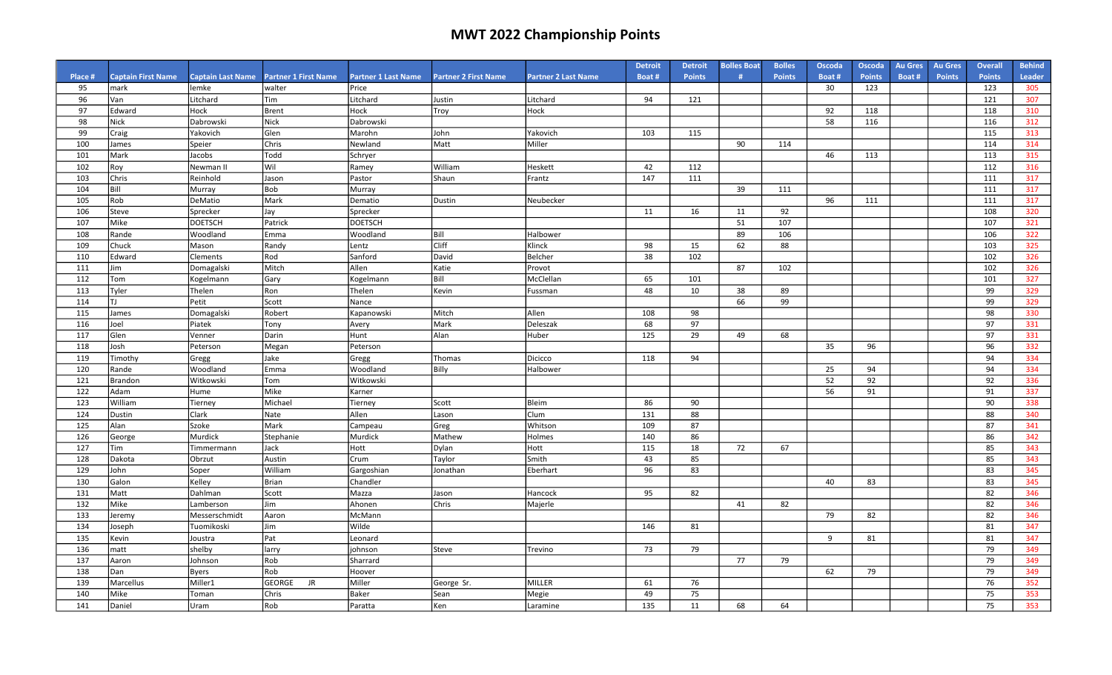|               |                                   |                                   |                                       |                                     |                             |                            | <b>Detroit</b> | <b>Detroit</b> | <b>Bolles Boat</b><br># | <b>Bolles</b> | Oscoda      | Oscoda               | <b>Au Gres</b> | <b>Au Gres</b> | <b>Overall</b>       | <b>Behind</b>        |
|---------------|-----------------------------------|-----------------------------------|---------------------------------------|-------------------------------------|-----------------------------|----------------------------|----------------|----------------|-------------------------|---------------|-------------|----------------------|----------------|----------------|----------------------|----------------------|
| Place #<br>95 | <b>Captain First Name</b><br>mark | <b>Captain Last Name</b><br>lemke | <b>Partner 1 First Name</b><br>walter | <b>Partner 1 Last Name</b><br>Price | <b>Partner 2 First Name</b> | <b>Partner 2 Last Name</b> | Boat#          | <b>Points</b>  |                         | <b>Points</b> | Boat#<br>30 | <b>Points</b><br>123 | Boat#          | <b>Points</b>  | <b>Points</b><br>123 | <b>Leader</b><br>305 |
| 96            | Van                               | Litchard                          | Tim                                   | Litchard                            | Justin                      | Litchard                   | 94             | 121            |                         |               |             |                      |                |                | 121                  | 307                  |
| 97            | Edward                            | Hock                              | Brent                                 | Hock                                | Troy                        | Hock                       |                |                |                         |               | 92          | 118                  |                |                | 118                  | 310                  |
| 98            | <b>Nick</b>                       | Dabrowski                         | <b>Nick</b>                           | Dabrowski                           |                             |                            |                |                |                         |               | 58          | 116                  |                |                | 116                  | 312                  |
| 99            | Craig                             | Yakovich                          | Glen                                  | Marohn                              | John                        | Yakovich                   | 103            | 115            |                         |               |             |                      |                |                | 115                  | 313                  |
| 100           | James                             | Speier                            | Chris                                 | Newland                             | Matt                        | Miller                     |                |                | 90                      | 114           |             |                      |                |                | 114                  | 314                  |
| 101           | Mark                              | Jacobs                            | Todd                                  | Schryer                             |                             |                            |                |                |                         |               | 46          | 113                  |                |                | 113                  | 315                  |
| 102           | Roy                               | Newman II                         | lwil                                  | Ramey                               | William                     | Heskett                    | 42             | 112            |                         |               |             |                      |                |                | 112                  | 316                  |
| 103           | Chris                             | Reinhold                          | Jason                                 | Pastor                              | Shaun                       | Frantz                     | 147            | 111            |                         |               |             |                      |                |                | 111                  | 317                  |
| 104           | Bill                              | Murray                            | <b>Bob</b>                            | Murray                              |                             |                            |                |                | 39                      | 111           |             |                      |                |                | 111                  | 317                  |
| 105           | Rob                               | DeMatio                           | Mark                                  | Dematio                             | Dustin                      | Neubecker                  |                |                |                         |               | 96          | 111                  |                |                | 111                  | 317                  |
| 106           | Steve                             | Sprecker                          | Jay                                   | Sprecker                            |                             |                            | 11             | 16             | 11                      | 92            |             |                      |                |                | 108                  | 320                  |
| 107           | Mike                              | <b>DOETSCH</b>                    | Patrick                               | <b>DOETSCH</b>                      |                             |                            |                |                | 51                      | 107           |             |                      |                |                | 107                  | 321                  |
| 108           | Rande                             | Woodland                          | Emma                                  | Woodland                            | Bill                        | Halbower                   |                |                | 89                      | 106           |             |                      |                |                | 106                  | 322                  |
| 109           | Chuck                             | Mason                             | Randy                                 | Lentz                               | Cliff                       | Klinck                     | 98             | 15             | 62                      | 88            |             |                      |                |                | 103                  | 325                  |
| 110           | Edward                            | Clements                          | Rod                                   | Sanford                             | David                       | Belcher                    | 38             | 102            |                         |               |             |                      |                |                | 102                  | 326                  |
| 111           | Jim                               | Domagalski                        | Mitch                                 | Allen                               | Katie                       | Provot                     |                |                | 87                      | 102           |             |                      |                |                | 102                  | 326                  |
| 112           | Tom                               | Kogelmann                         | Gary                                  | Kogelmann                           | l Bill                      | McClellan                  | 65             | 101            |                         |               |             |                      |                |                | 101                  | 327                  |
| 113           | Tyler                             | Thelen                            | Ron                                   | Thelen                              | <b>Kevin</b>                | Fussman                    | 48             | 10             | 38                      | 89            |             |                      |                |                | 99                   | 329                  |
| 114           | l TJ                              | Petit                             | Scott                                 | Nance                               |                             |                            |                |                | 66                      | 99            |             |                      |                |                | 99                   | 329                  |
| 115           | James                             | Domagalski                        | Robert                                | Kapanowski                          | Mitch                       | Allen                      | 108            | 98             |                         |               |             |                      |                |                | 98                   | 330                  |
| 116           | Joel                              | Piatek                            | Tony                                  | Avery                               | Mark                        | Deleszak                   | 68             | 97             |                         |               |             |                      |                |                | 97                   | 331                  |
| 117           | Glen                              | Venner                            | Darin                                 | Hunt                                | l Alan                      | Huber                      | 125            | 29             | 49                      | 68            |             |                      |                |                | 97                   | 331                  |
| 118           | Josh                              | Peterson                          | Megan                                 | Peterson                            |                             |                            |                |                |                         |               | 35          | 96                   |                |                | 96                   | 332                  |
| 119           | Timothy                           | Gregg                             | Jake                                  | Gregg                               | Thomas                      | Dicicco                    | 118            | 94             |                         |               |             |                      |                |                | 94                   | 334                  |
| 120           | Rande                             | Woodland                          | Emma                                  | Woodland                            | Billy                       | Halbower                   |                |                |                         |               | 25          | 94                   |                |                | 94                   | 334                  |
| 121           | Brandon                           | Witkowski                         | Tom                                   | Witkowski                           |                             |                            |                |                |                         |               | 52          | 92                   |                |                | 92                   | 336                  |
| 122           | Adam                              | Hume                              | Mike                                  | Karner                              |                             |                            |                |                |                         |               | 56          | 91                   |                |                | 91                   | 337                  |
| 123           | William                           | Tierney                           | Michael                               | Tierney                             | Scott                       | Bleim                      | 86             | 90             |                         |               |             |                      |                |                | 90                   | 338                  |
| 124           | Dustin                            | Clark                             | Nate                                  | Allen                               | Lason                       | Clum                       | 131            | 88             |                         |               |             |                      |                |                | 88                   | 340                  |
| 125           | Alan                              | Szoke                             | Mark                                  | Campeau                             | Greg                        | Whitson                    | 109            | 87             |                         |               |             |                      |                |                | 87                   | 341                  |
| 126           | George                            | Murdick                           | Stephanie                             | Murdick                             | Mathew                      | Holmes                     | 140            | 86             |                         |               |             |                      |                |                | 86                   | 342                  |
| 127           | Tim                               | Timmermann                        | Jack                                  | Hott                                | Dylan                       | Hott                       | 115            | 18             | 72                      | 67            |             |                      |                |                | 85                   | 343                  |
| 128           | Dakota                            | Obrzut                            | Austin                                | Crum                                | Taylor                      | Smith                      | 43             | 85             |                         |               |             |                      |                |                | 85                   | 343                  |
| 129           | John                              | Soper                             | William                               | Gargoshian                          | Jonathan                    | Eberhart                   | 96             | 83             |                         |               |             |                      |                |                | 83                   | 345                  |
| 130           | Galon                             | Kelley                            | Brian                                 | Chandler                            |                             |                            |                |                |                         |               | 40          | 83                   |                |                | 83                   | 345                  |
| 131           | Matt                              | Dahlman                           | Scott                                 | Mazza                               | Jason                       | Hancock                    | 95             | 82             |                         |               |             |                      |                |                | 82                   | 346                  |
| 132           | Mike                              | Lamberson                         | Jim                                   | Ahonen                              | Chris                       | Majerle                    |                |                | 41                      | 82            |             |                      |                |                | 82                   | 346                  |
| 133           | Jeremy                            | Messerschmidt                     | Aaron                                 | McMann                              |                             |                            |                |                |                         |               | 79          | 82                   |                |                | 82                   | 346                  |
| 134           | Joseph                            | Tuomikoski                        | Jim                                   | Wilde                               |                             |                            | 146            | 81             |                         |               |             |                      |                |                | 81                   | 347                  |
| 135           | Kevin                             | Joustra                           | Pat                                   | Leonard                             |                             |                            |                |                |                         |               | 9           | 81                   |                |                | 81                   | 347                  |
| 136           | matt                              | shelby                            | larry                                 | johnson                             | <b>Steve</b>                | Trevino                    | 73             | 79             |                         |               |             |                      |                |                | 79                   | 349                  |
| 137           | Aaron                             | Johnson                           | Rob                                   | Sharrard                            |                             |                            |                |                | 77                      | 79            |             |                      |                |                | 79                   | 349                  |
| 138           | Dan                               | <b>Byers</b>                      | Rob                                   | Hoover                              |                             |                            |                |                |                         |               | 62          | 79                   |                |                | 79                   | 349                  |
| 139           | Marcellus                         | Miller1                           | GEORGE<br>JR                          | Miller                              | George Sr.                  | MILLER                     | 61             | 76             |                         |               |             |                      |                |                | 76                   | 352                  |
| 140           | Mike                              | Toman                             | Chris                                 | <b>Baker</b>                        | Sean                        | Megie                      | 49             | 75             |                         |               |             |                      |                |                | 75                   | 353                  |
| 141           | Daniel                            | Uram                              | Rob                                   | Paratta                             | Ken                         | Laramine                   | 135            | 11             | 68                      | 64            |             |                      |                |                | 75                   | 353                  |